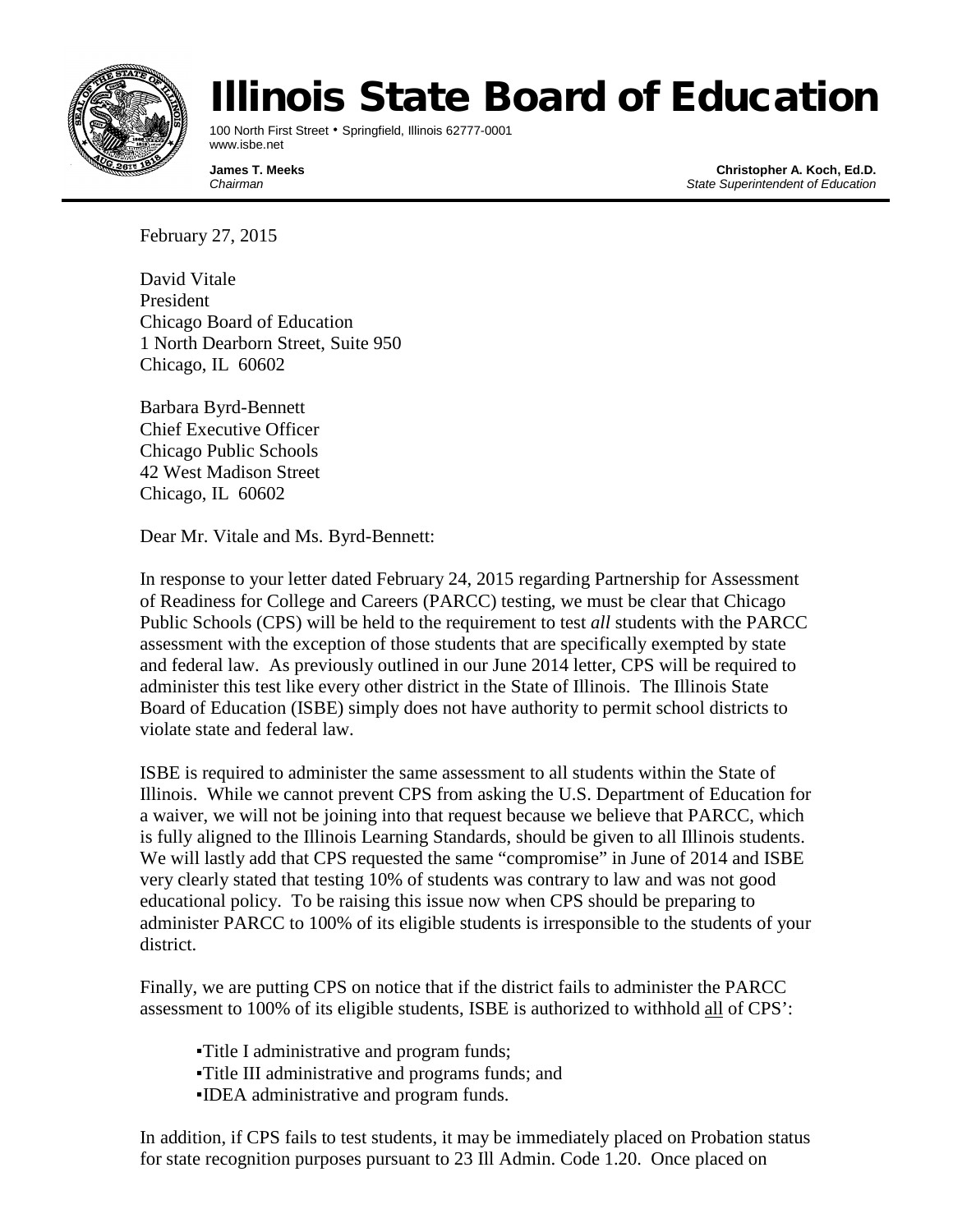

## Illinois State Board of Education

100 North First Street • Springfield, Illinois 62777-0001 www.isbe.net

**James T. Meeks Christopher A. Koch, Ed.D.** *Chairman State Superintendent of Education*

February 27, 2015

David Vitale President Chicago Board of Education 1 North Dearborn Street, Suite 950 Chicago, IL 60602

Barbara Byrd-Bennett Chief Executive Officer Chicago Public Schools 42 West Madison Street Chicago, IL 60602

Dear Mr. Vitale and Ms. Byrd-Bennett:

In response to your letter dated February 24, 2015 regarding Partnership for Assessment of Readiness for College and Careers (PARCC) testing, we must be clear that Chicago Public Schools (CPS) will be held to the requirement to test *all* students with the PARCC assessment with the exception of those students that are specifically exempted by state and federal law. As previously outlined in our June 2014 letter, CPS will be required to administer this test like every other district in the State of Illinois. The Illinois State Board of Education (ISBE) simply does not have authority to permit school districts to violate state and federal law.

ISBE is required to administer the same assessment to all students within the State of Illinois. While we cannot prevent CPS from asking the U.S. Department of Education for a waiver, we will not be joining into that request because we believe that PARCC, which is fully aligned to the Illinois Learning Standards, should be given to all Illinois students. We will lastly add that CPS requested the same "compromise" in June of 2014 and ISBE very clearly stated that testing 10% of students was contrary to law and was not good educational policy. To be raising this issue now when CPS should be preparing to administer PARCC to 100% of its eligible students is irresponsible to the students of your district.

Finally, we are putting CPS on notice that if the district fails to administer the PARCC assessment to 100% of its eligible students, ISBE is authorized to withhold all of CPS':

▪Title I administrative and program funds; ▪Title III administrative and programs funds; and ▪IDEA administrative and program funds.

In addition, if CPS fails to test students, it may be immediately placed on Probation status for state recognition purposes pursuant to 23 Ill Admin. Code 1.20. Once placed on